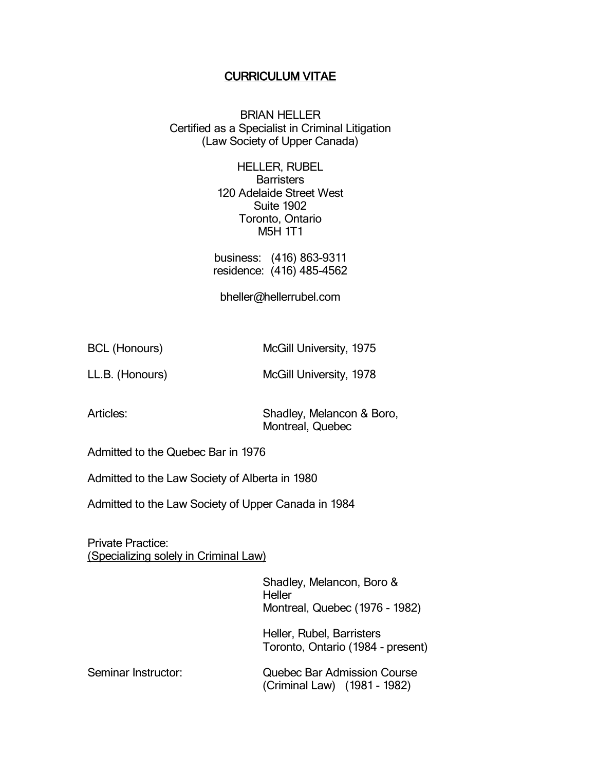## CURRICULUM VITAE

BRIAN HELLER Certified as a Specialist in Criminal Litigation (Law Society of Upper Canada)

> HELLER, RUBEL **Barristers** 120 Adelaide Street West Suite 1902 Toronto, Ontario M5H 1T1

business: (416) 863-9311 residence: (416) 485-4562

bheller@hellerrubel.com

BCL (Honours) McGill University, 1975

LL.B. (Honours) McGill University, 1978

Articles: Shadley, Melancon & Boro, Montreal, Quebec

Admitted to the Quebec Bar in 1976

Admitted to the Law Society of Alberta in 1980

Admitted to the Law Society of Upper Canada in 1984

Private Practice: (Specializing solely in Criminal Law)

> Shadley, Melancon, Boro & **Heller** Montreal, Quebec (1976 - 1982)

Heller, Rubel, Barristers Toronto, Ontario (1984 - present)

Seminar Instructor: Quebec Bar Admission Course (Criminal Law) (1981 - 1982)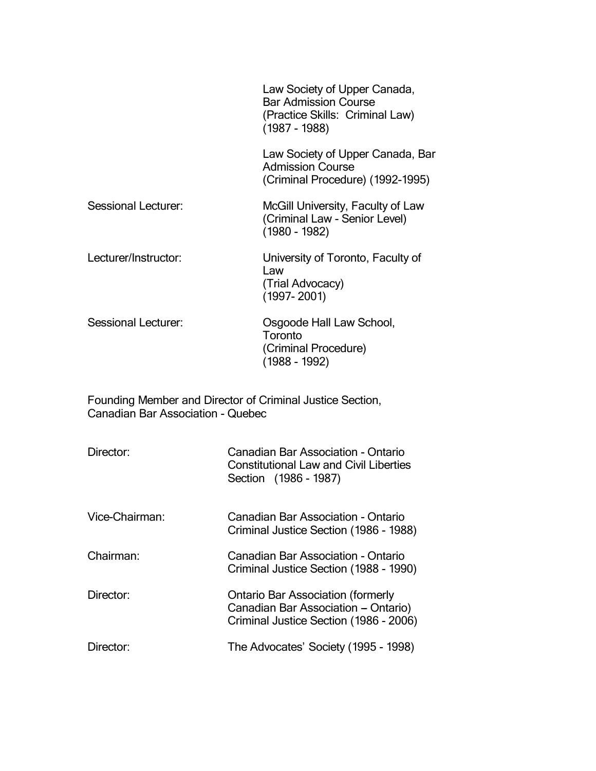|                                                                                                | Law Society of Upper Canada,<br><b>Bar Admission Course</b><br>(Practice Skills: Criminal Law)<br>$(1987 - 1988)$ |  |
|------------------------------------------------------------------------------------------------|-------------------------------------------------------------------------------------------------------------------|--|
|                                                                                                | Law Society of Upper Canada, Bar<br><b>Admission Course</b><br>(Criminal Procedure) (1992-1995)                   |  |
| Sessional Lecturer:                                                                            | McGill University, Faculty of Law<br>(Criminal Law - Senior Level)<br>$(1980 - 1982)$                             |  |
| Lecturer/Instructor:                                                                           | University of Toronto, Faculty of<br>Law<br>(Trial Advocacy)<br>$(1997 - 2001)$                                   |  |
| Sessional Lecturer:                                                                            | Osgoode Hall Law School,<br>Toronto<br>(Criminal Procedure)<br>(1988 - 1992)                                      |  |
| Founding Member and Director of Criminal Justice Section,<br>Canadian Bar Association - Quebec |                                                                                                                   |  |
| Director:                                                                                      | Canadian Bar Association - Ontario<br><b>Constitutional Law and Civil Liberties</b><br>Section (1986 - 1987)      |  |

Vice-Chairman: Canadian Bar Association - Ontario Criminal Justice Section (1986 - 1988) Chairman: Canadian Bar Association - Ontario Criminal Justice Section (1988 - 1990) Director: Ontario Bar Association (formerly Canadian Bar Association - Ontario) Criminal Justice Section (1986 - 2006) Director: The Advocates' Society (1995 - 1998)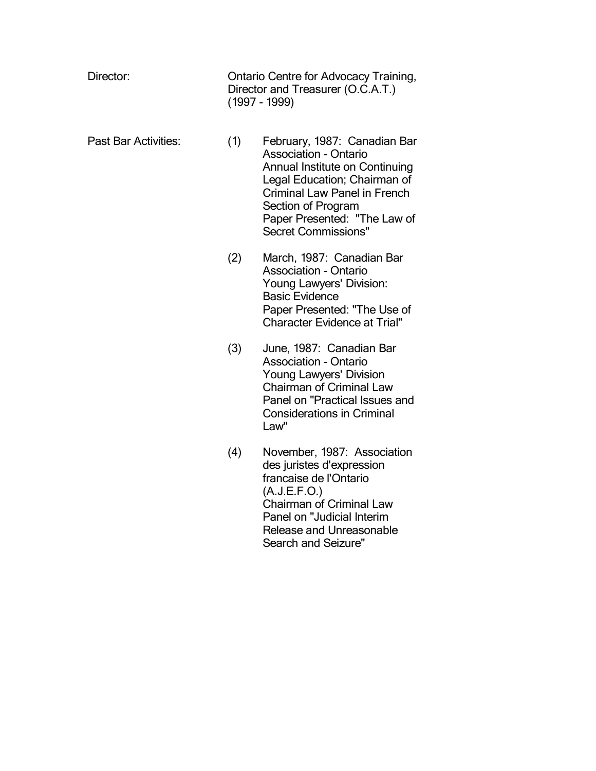| Director:            |     | Ontario Centre for Advocacy Training,<br>Director and Treasurer (O.C.A.T.)<br>(1997 - 1999)                                                                                                                                                               |  |
|----------------------|-----|-----------------------------------------------------------------------------------------------------------------------------------------------------------------------------------------------------------------------------------------------------------|--|
| Past Bar Activities: | (1) | February, 1987: Canadian Bar<br><b>Association - Ontario</b><br>Annual Institute on Continuing<br>Legal Education; Chairman of<br><b>Criminal Law Panel in French</b><br>Section of Program<br>Paper Presented: "The Law of<br><b>Secret Commissions"</b> |  |
|                      | (2) | March, 1987: Canadian Bar<br><b>Association - Ontario</b><br>Young Lawyers' Division:<br><b>Basic Evidence</b><br>Paper Presented: "The Use of<br><b>Character Evidence at Trial"</b>                                                                     |  |
|                      | (3) | June, 1987: Canadian Bar<br><b>Association - Ontario</b><br>Young Lawyers' Division<br><b>Chairman of Criminal Law</b><br>Panel on "Practical Issues and<br><b>Considerations in Criminal</b><br>Law"                                                     |  |
|                      | (4) | November, 1987: Association<br>des juristes d'expression<br>francaise de l'Ontario<br>(A.J.E.F.O.)<br>Chairman of Criminal Law<br>Panel on "Judicial Interim<br><b>Release and Unreasonable</b><br><b>Search and Seizure"</b>                             |  |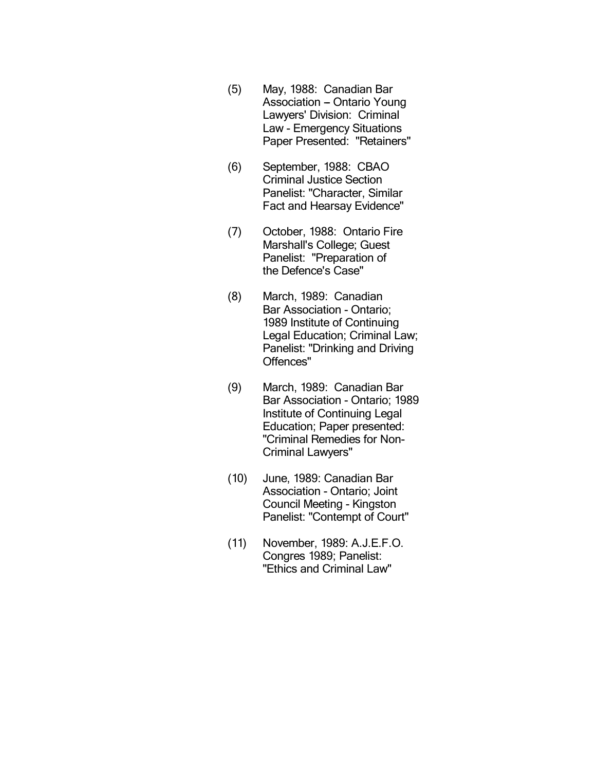- (5) May, 1988: Canadian Bar Association - Ontario Young Lawyers' Division: Criminal Law - Emergency Situations Paper Presented: "Retainers"
- (6) September, 1988: CBAO Criminal Justice Section Panelist: "Character, Similar Fact and Hearsay Evidence"
- (7) October, 1988: Ontario Fire Marshall's College; Guest Panelist: "Preparation of the Defence's Case"
- (8) March, 1989: Canadian Bar Association - Ontario; 1989 Institute of Continuing Legal Education; Criminal Law; Panelist: "Drinking and Driving Offences"
- (9) March, 1989: Canadian Bar Bar Association - Ontario; 1989 Institute of Continuing Legal Education; Paper presented: "Criminal Remedies for Non-Criminal Lawyers"
- (10) June, 1989: Canadian Bar Association - Ontario; Joint Council Meeting - Kingston Panelist: "Contempt of Court"
- (11) November, 1989: A.J.E.F.O. Congres 1989; Panelist: "Ethics and Criminal Law"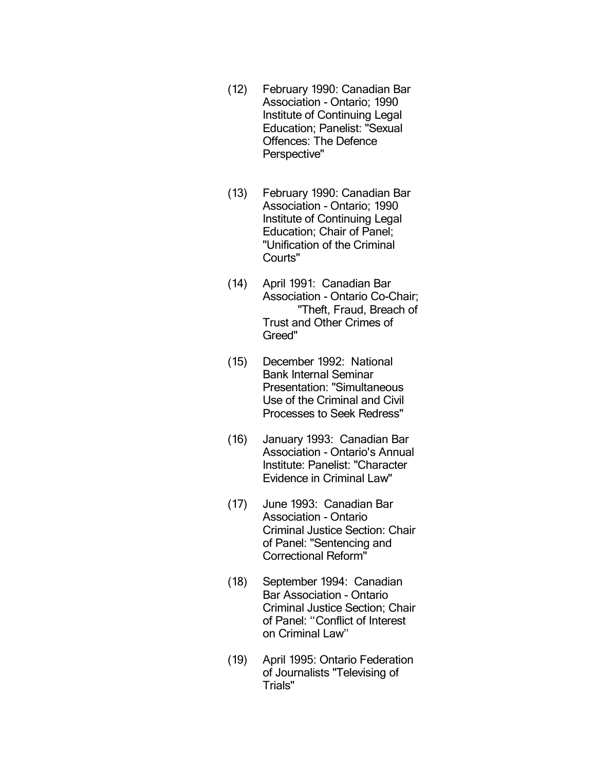- (12) February 1990: Canadian Bar Association - Ontario; 1990 Institute of Continuing Legal Education; Panelist: "Sexual Offences: The Defence Perspective"
- (13) February 1990: Canadian Bar Association - Ontario; 1990 Institute of Continuing Legal Education; Chair of Panel; "Unification of the Criminal Courts"
- (14) April 1991: Canadian Bar Association - Ontario Co-Chair; "Theft, Fraud, Breach of Trust and Other Crimes of Greed"
- (15) December 1992: National Bank Internal Seminar Presentation: "Simultaneous Use of the Criminal and Civil Processes to Seek Redress"
- (16) January 1993: Canadian Bar Association - Ontario's Annual Institute: Panelist: "Character Evidence in Criminal Law"
- (17) June 1993: Canadian Bar Association - Ontario Criminal Justice Section: Chair of Panel: "Sentencing and Correctional Reform"
- (18) September 1994: Canadian Bar Association - Ontario Criminal Justice Section; Chair of Panel: ''Conflict of Interest on Criminal Law''
- (19) April 1995: Ontario Federation of Journalists "Televising of Trials"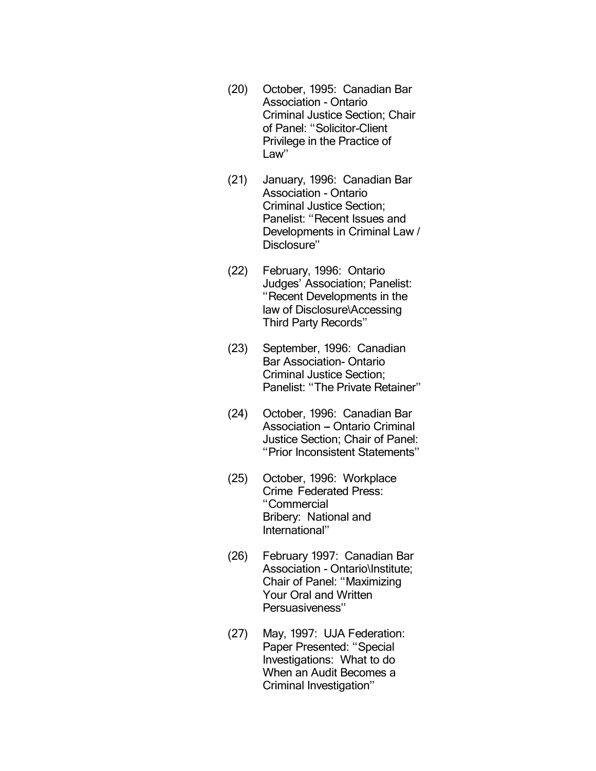- (20) October, 1995: Canadian Bar Association - Ontario Criminal Justice Section; Chair of Panel: ''Solicitor-Client Privilege in the Practice of Law''
- (21) January, 1996: Canadian Bar Association - Ontario Criminal Justice Section; Panelist: "Recent Issues and Developments in Criminal Law / Disclosure''
- (22) February, 1996: Ontario Judges' Association; Panelist: ''Recent Developments in the law of Disclosure\Accessing Third Party Records''
- (23) September, 1996: Canadian Bar Association- Ontario Criminal Justice Section; Panelist: ''The Private Retainer''
- (24) October, 1996: Canadian Bar Association - Ontario Criminal Justice Section; Chair of Panel: ''Prior Inconsistent Statements''
- (25) October, 1996: Workplace Crime Federated Press: ''Commercial Bribery: National and International''
- (26) February 1997: Canadian Bar Association - Ontario\Institute; Chair of Panel: ''Maximizing Your Oral and Written Persuasiveness''
- (27) May, 1997: UJA Federation: Paper Presented: ''Special Investigations: What to do When an Audit Becomes a Criminal Investigation''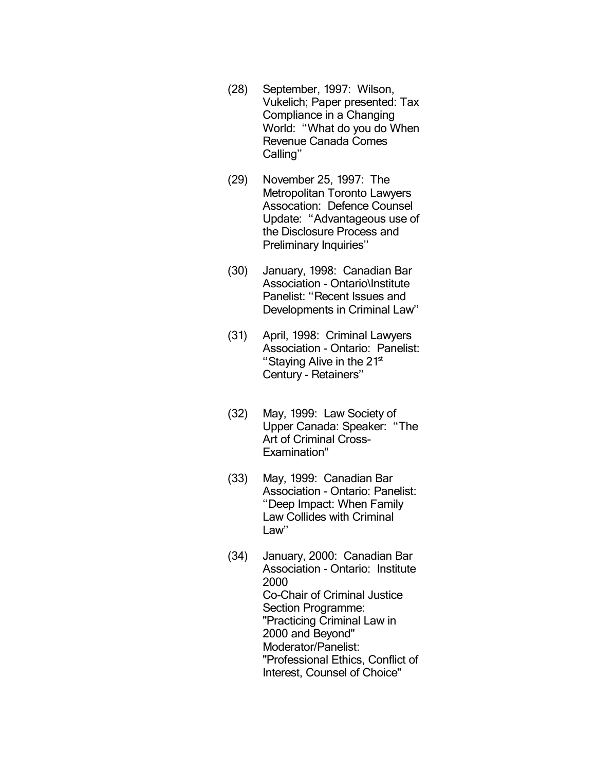- (28) September, 1997: Wilson, Vukelich; Paper presented: Tax Compliance in a Changing World: ''What do you do When Revenue Canada Comes Calling''
- (29) November 25, 1997: The Metropolitan Toronto Lawyers Assocation: Defence Counsel Update: ''Advantageous use of the Disclosure Process and Preliminary Inquiries''
- (30) January, 1998: Canadian Bar Association - Ontario\Institute Panelist: "Recent Issues and Developments in Criminal Law''
- (31) April, 1998: Criminal Lawyers Association - Ontario: Panelist: "Staying Alive in the  $21<sup>st</sup>$ Century - Retainers''
- (32) May, 1999: Law Society of Upper Canada: Speaker: ''The Art of Criminal Cross-Examination"
- (33) May, 1999: Canadian Bar Association - Ontario: Panelist: ''Deep Impact: When Family Law Collides with Criminal Law''
- (34) January, 2000: Canadian Bar Association - Ontario: Institute 2000 Co-Chair of Criminal Justice Section Programme: "Practicing Criminal Law in 2000 and Beyond" Moderator/Panelist: "Professional Ethics, Conflict of Interest, Counsel of Choice"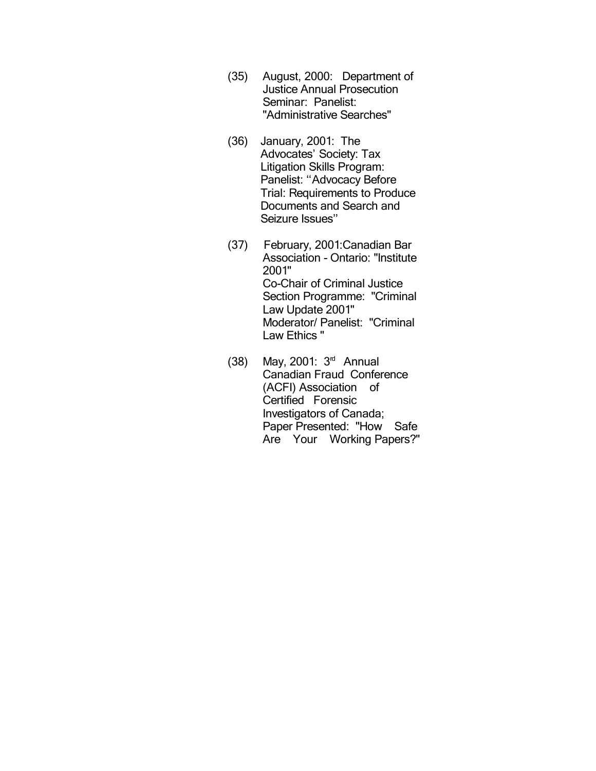- (35) August, 2000: Department of Justice Annual Prosecution Seminar: Panelist: "Administrative Searches"
- (36) January, 2001: The Advocates' Society: Tax Litigation Skills Program: Panelist: "Advocacy Before Trial: Requirements to Produce Documents and Search and Seizure Issues''
- (37) February, 2001:Canadian Bar Association - Ontario: "Institute 2001" Co-Chair of Criminal Justice Section Programme: "Criminal Law Update 2001" Moderator/ Panelist: "Criminal Law Ethics "
- (38) May, 2001: 3rd Annual Canadian Fraud Conference (ACFI) Association of Certified Forensic Investigators of Canada; Paper Presented: "How Safe Are Your Working Papers?"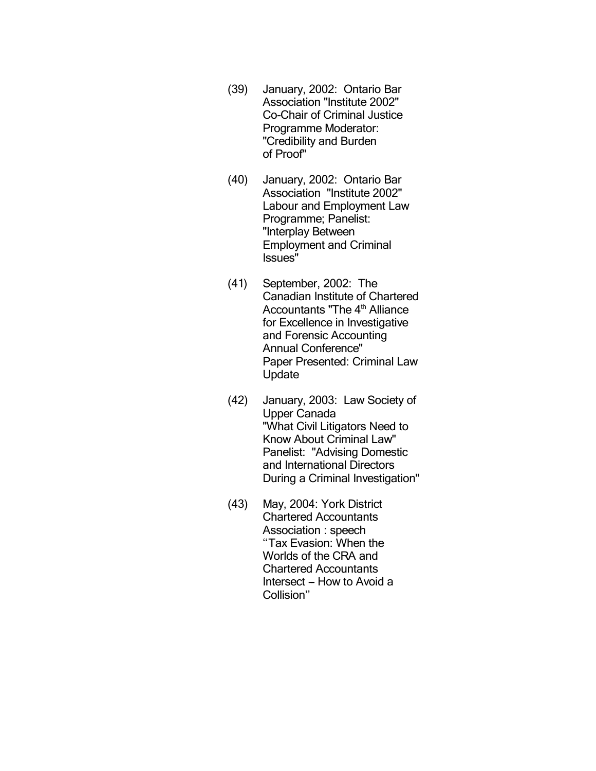- (39) January, 2002: Ontario Bar Association "Institute 2002" Co-Chair of Criminal Justice Programme Moderator: "Credibility and Burden of Proof"
- (40) January, 2002: Ontario Bar Association "Institute 2002" Labour and Employment Law Programme; Panelist: "Interplay Between Employment and Criminal Issues"
- (41) September, 2002: The Canadian Institute of Chartered Accountants "The 4<sup>th</sup> Alliance for Excellence in Investigative and Forensic Accounting Annual Conference" Paper Presented: Criminal Law Update
- (42) January, 2003: Law Society of Upper Canada "What Civil Litigators Need to Know About Criminal Law" Panelist: "Advising Domestic and International Directors During a Criminal Investigation"
- (43) May, 2004: York District Chartered Accountants Association : speech ''Tax Evasion: When the Worlds of the CRA and Chartered Accountants Intersect – How to Avoid a Collision''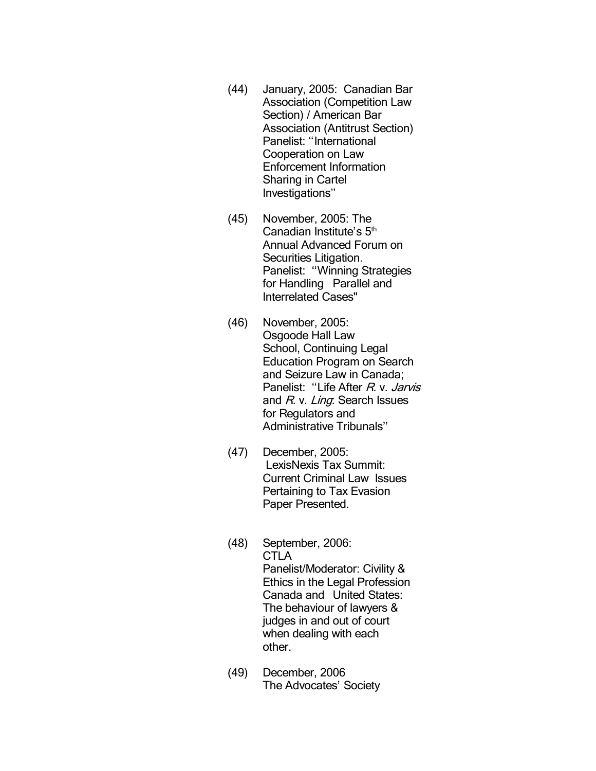- (44) January, 2005: Canadian Bar Association (Competition Law Section) / American Bar Association (Antitrust Section) Panelist: "International Cooperation on Law Enforcement Information Sharing in Cartel Investigations''
- (45) November, 2005: The Canadian Institute's 5<sup>th</sup> Annual Advanced Forum on Securities Litigation. Panelist: ''Winning Strategies for Handling Parallel and Interrelated Cases"
- (46) November, 2005: Osgoode Hall Law School, Continuing Legal Education Program on Search and Seizure Law in Canada; Panelist: "Life After R. v. Jarvis and R. v. Ling. Search Issues for Regulators and Administrative Tribunals''
- (47) December, 2005: LexisNexis Tax Summit: Current Criminal Law Issues Pertaining to Tax Evasion Paper Presented.
- (48) September, 2006: **CTLA** Panelist/Moderator: Civility & Ethics in the Legal Profession Canada and United States: The behaviour of lawyers & judges in and out of court when dealing with each other.
- (49) December, 2006 The Advocates' Society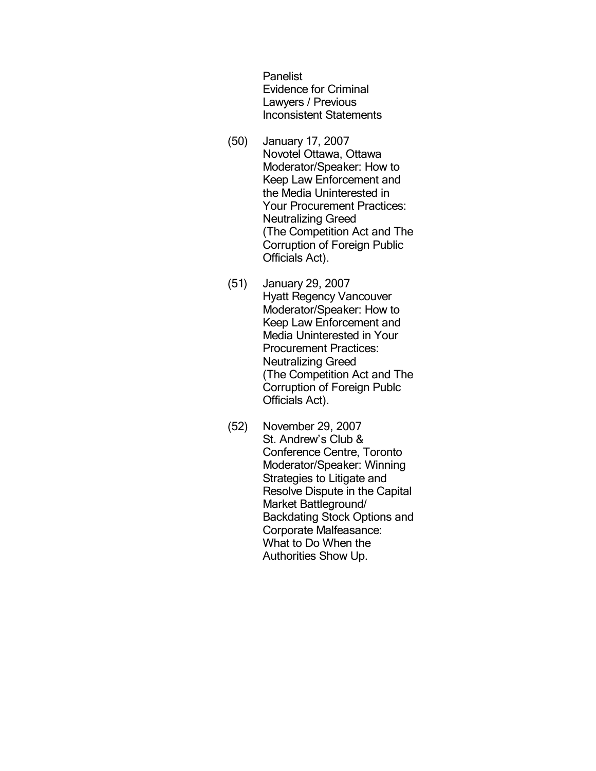**Panelist** Evidence for Criminal Lawyers / Previous Inconsistent Statements

- (50) January 17, 2007 Novotel Ottawa, Ottawa Moderator/Speaker: How to Keep Law Enforcement and the Media Uninterested in Your Procurement Practices: Neutralizing Greed (The Competition Act and The Corruption of Foreign Public Officials Act).
- (51) January 29, 2007 Hyatt Regency Vancouver Moderator/Speaker: How to Keep Law Enforcement and Media Uninterested in Your Procurement Practices: Neutralizing Greed (The Competition Act and The Corruption of Foreign Publc Officials Act).
- (52) November 29, 2007 St. Andrew's Club & Conference Centre, Toronto Moderator/Speaker: Winning Strategies to Litigate and Resolve Dispute in the Capital Market Battleground/ Backdating Stock Options and Corporate Malfeasance: What to Do When the Authorities Show Up.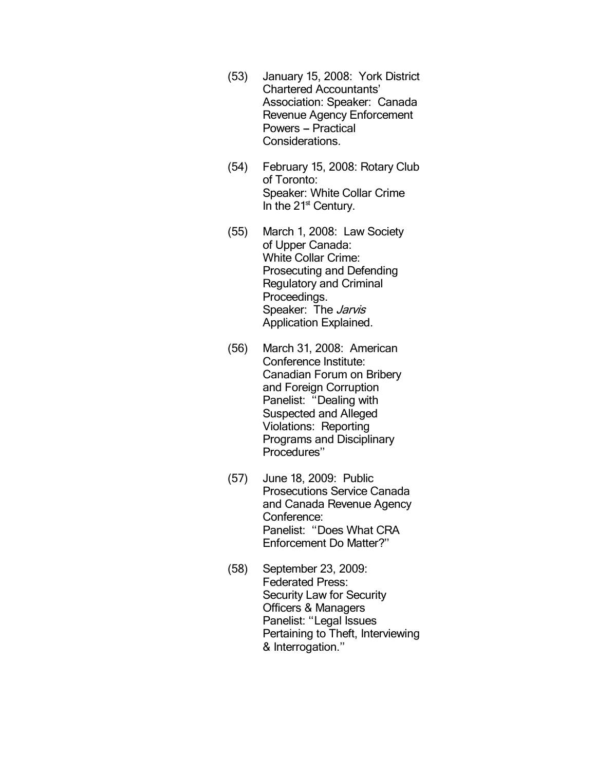- (53) January 15, 2008: York District Chartered Accountants' Association: Speaker: Canada Revenue Agency Enforcement Powers - Practical Considerations.
- (54) February 15, 2008: Rotary Club of Toronto: Speaker: White Collar Crime In the  $21<sup>st</sup>$  Century.
- (55) March 1, 2008: Law Society of Upper Canada: White Collar Crime: Prosecuting and Defending Regulatory and Criminal Proceedings. Speaker: The *Jarvis* Application Explained.
- (56) March 31, 2008: American Conference Institute: Canadian Forum on Bribery and Foreign Corruption Panelist: "Dealing with Suspected and Alleged Violations: Reporting Programs and Disciplinary Procedures''
- (57) June 18, 2009: Public Prosecutions Service Canada and Canada Revenue Agency Conference: Panelist: ''Does What CRA Enforcement Do Matter?''
- (58) September 23, 2009: Federated Press: Security Law for Security Officers & Managers Panelist: "Legal Issues Pertaining to Theft, Interviewing & Interrogation.''